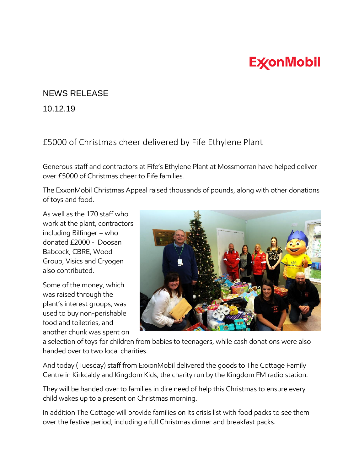## **ExconMobil**

## NEWS RELEASE

10.12.19

## £5000 of Christmas cheer delivered by Fife Ethylene Plant

Generous staff and contractors at Fife's Ethylene Plant at Mossmorran have helped deliver over £5000 of Christmas cheer to Fife families.

The ExxonMobil Christmas Appeal raised thousands of pounds, along with other donations of toys and food.

As well as the 170 staff who work at the plant, contractors including Bilfinger – who donated £2000 - Doosan Babcock, CBRE, Wood Group, Visics and Cryogen also contributed.

Some of the money, which was raised through the plant's interest groups, was used to buy non-perishable food and toiletries, and another chunk was spent on



a selection of toys for children from babies to teenagers, while cash donations were also handed over to two local charities.

And today (Tuesday) staff from ExxonMobil delivered the goods to The Cottage Family Centre in Kirkcaldy and Kingdom Kids, the charity run by the Kingdom FM radio station.

They will be handed over to families in dire need of help this Christmas to ensure every child wakes up to a present on Christmas morning.

In addition The Cottage will provide families on its crisis list with food packs to see them over the festive period, including a full Christmas dinner and breakfast packs.